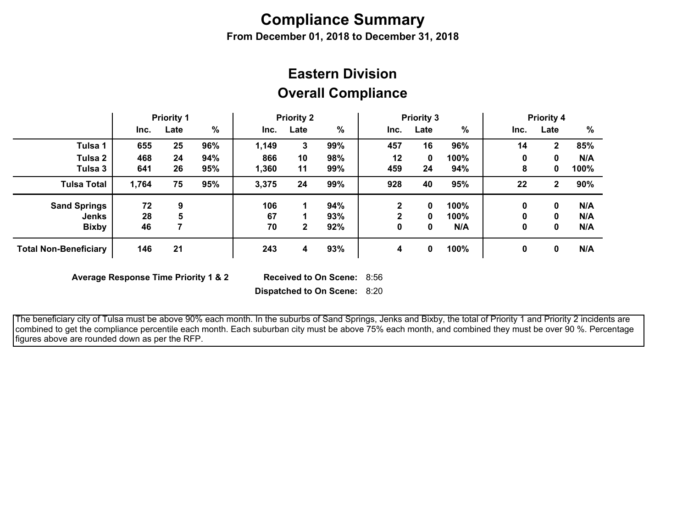# **Compliance Summary**

**From December 01, 2018 to December 31, 2018**

## **Overall Compliance Eastern Division**

|                              | <b>Priority 1</b> |      | <b>Priority 2</b> |       | <b>Priority 3</b> |     |              | <b>Priority 4</b> |      |      |              |      |
|------------------------------|-------------------|------|-------------------|-------|-------------------|-----|--------------|-------------------|------|------|--------------|------|
|                              | Inc.              | Late | %                 | Inc.  | Late              | %   | Inc.         | Late              | %    | Inc. | Late         | %    |
| Tulsa 1                      | 655               | 25   | 96%               | 1,149 | 3                 | 99% | 457          | 16                | 96%  | 14   | 2            | 85%  |
| Tulsa 2                      | 468               | 24   | 94%               | 866   | 10                | 98% | 12           | 0                 | 100% | 0    |              | N/A  |
| Tulsa 3                      | 641               | 26   | 95%               | 1,360 | 11                | 99% | 459          | 24                | 94%  | 8    | 0            | 100% |
| <b>Tulsa Total</b>           | 1,764             | 75   | 95%               | 3,375 | 24                | 99% | 928          | 40                | 95%  | 22   | $\mathbf{2}$ | 90%  |
| <b>Sand Springs</b>          | 72                | 9    |                   | 106   |                   | 94% | $\mathbf{2}$ | 0                 | 100% | 0    | 0            | N/A  |
| <b>Jenks</b>                 | 28                | 5    |                   | 67    |                   | 93% | 2            | 0                 | 100% |      | 0            | N/A  |
| <b>Bixby</b>                 | 46                |      |                   | 70    | $\mathbf{2}$      | 92% | 0            | 0                 | N/A  | 0    | 0            | N/A  |
| <b>Total Non-Beneficiary</b> | 146               | 21   |                   | 243   | 4                 | 93% | 4            | 0                 | 100% | 0    | 0            | N/A  |

**Average Response Time Priority 1 & 2** 

Received to On Scene: 8:56

**Dispatched to On Scene:** 8:20

 The beneficiary city of Tulsa must be above 90% each month. In the suburbs of Sand Springs, Jenks and Bixby, the total of Priority 1 and Priority 2 incidents are combined to get the compliance percentile each month. Each suburban city must be above 75% each month, and combined they must be over 90 %. Percentage figures above are rounded down as per the RFP.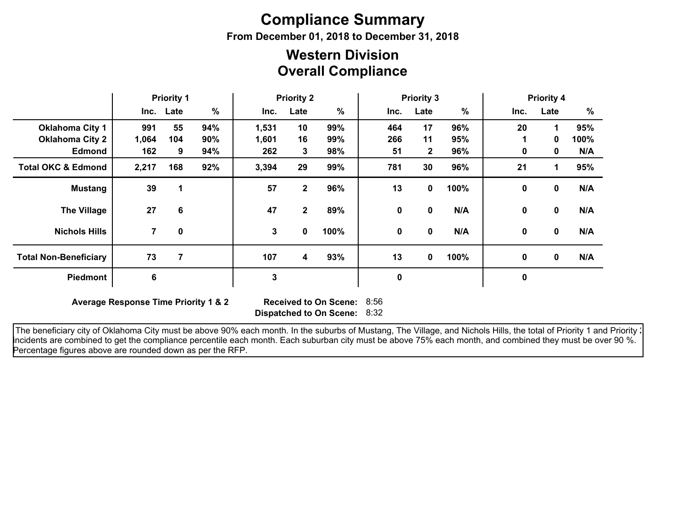# **Compliance Summary**

**From December 01, 2018 to December 31, 2018**

### **Overall Compliance Western Division**

|                               | <b>Priority 1</b> |           | <b>Priority 2</b> |              |              | <b>Priority 3</b> |      |                | <b>Priority 4</b> |              |                      |      |
|-------------------------------|-------------------|-----------|-------------------|--------------|--------------|-------------------|------|----------------|-------------------|--------------|----------------------|------|
|                               |                   | Inc. Late | $\%$              | Inc.         | Late         | %                 | Inc. | Late           | %                 | Inc.         | Late                 | %    |
| <b>Oklahoma City 1</b>        | 991               | 55        | 94%               | 1,531        | 10           | 99%               | 464  | 17             | 96%               | 20           | 1                    | 95%  |
| <b>Oklahoma City 2</b>        | 1,064             | 104       | 90%               | 1,601        | 16           | 99%               | 266  | 11             | 95%               |              | $\mathbf{0}$         | 100% |
| <b>Edmond</b>                 | 162               | 9         | 94%               | 262          | 3            | 98%               | 51   | $\overline{2}$ | 96%               | 0            | 0                    | N/A  |
| <b>Total OKC &amp; Edmond</b> | 2,217             | 168       | 92%               | 3,394        | 29           | 99%               | 781  | 30             | 96%               | 21           | $\blacktriangleleft$ | 95%  |
| <b>Mustang</b>                | 39                | 1         |                   | 57           | 2            | 96%               | 13   | 0              | 100%              | $\mathbf 0$  | $\mathbf 0$          | N/A  |
| <b>The Village</b>            | 27                | 6         |                   | 47           | $\mathbf{2}$ | 89%               | 0    | 0              | N/A               | $\mathbf{0}$ | $\mathbf 0$          | N/A  |
| <b>Nichols Hills</b>          | 7                 | 0         |                   | $\mathbf{3}$ | 0            | 100%              | 0    | 0              | N/A               | $\mathbf{0}$ | $\mathbf 0$          | N/A  |
| <b>Total Non-Beneficiary</b>  | 73                | 7         |                   | 107          | 4            | 93%               | 13   | $\mathbf{0}$   | 100%              | 0            | $\mathbf 0$          | N/A  |
| Piedmont                      | 6                 |           |                   | $\mathbf{3}$ |              |                   | 0    |                |                   | $\mathbf 0$  |                      |      |

**Average Response Time Priority 1 & 2** 

**Dispatched to On Scene:** 8:32 Received to On Scene: 8:56

The beneficiary city of Oklahoma City must be above 90% each month. In the suburbs of Mustang, The Village, and Nichols Hills, the total of Priority 1 and Priority : incidents are combined to get the compliance percentile each month. Each suburban city must be above 75% each month, and combined they must be over 90 %. Percentage figures above are rounded down as per the RFP.